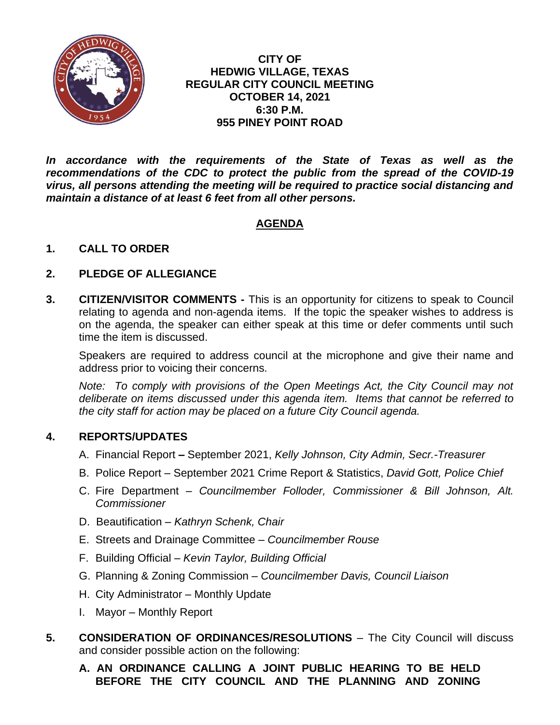

**CITY OF HEDWIG VILLAGE, TEXAS REGULAR CITY COUNCIL MEETING OCTOBER 14, 2021 6:30 P.M. 955 PINEY POINT ROAD**

In accordance with the requirements of the State of Texas as well as the *recommendations of the CDC to protect the public from the spread of the COVID-19 virus, all persons attending the meeting will be required to practice social distancing and maintain a distance of at least 6 feet from all other persons.*

# **AGENDA**

## **1. CALL TO ORDER**

## **2. PLEDGE OF ALLEGIANCE**

**3. CITIZEN/VISITOR COMMENTS -** This is an opportunity for citizens to speak to Council relating to agenda and non-agenda items. If the topic the speaker wishes to address is on the agenda, the speaker can either speak at this time or defer comments until such time the item is discussed.

Speakers are required to address council at the microphone and give their name and address prior to voicing their concerns.

*Note: To comply with provisions of the Open Meetings Act, the City Council may not deliberate on items discussed under this agenda item. Items that cannot be referred to the city staff for action may be placed on a future City Council agenda.*

### **4. REPORTS/UPDATES**

- A. Financial Report **–** September 2021, *Kelly Johnson, City Admin, Secr.-Treasurer*
- B. Police Report September 2021 Crime Report & Statistics, *David Gott, Police Chief*
- C. Fire Department *Councilmember Folloder, Commissioner & Bill Johnson, Alt. Commissioner*
- D. Beautification *Kathryn Schenk, Chair*
- E. Streets and Drainage Committee *Councilmember Rouse*
- F. Building Official *Kevin Taylor, Building Official*
- G. Planning & Zoning Commission *Councilmember Davis, Council Liaison*
- H. City Administrator Monthly Update
- I. Mayor Monthly Report
- **5. CONSIDERATION OF ORDINANCES/RESOLUTIONS** The City Council will discuss and consider possible action on the following:
	- **A. AN ORDINANCE CALLING A JOINT PUBLIC HEARING TO BE HELD BEFORE THE CITY COUNCIL AND THE PLANNING AND ZONING**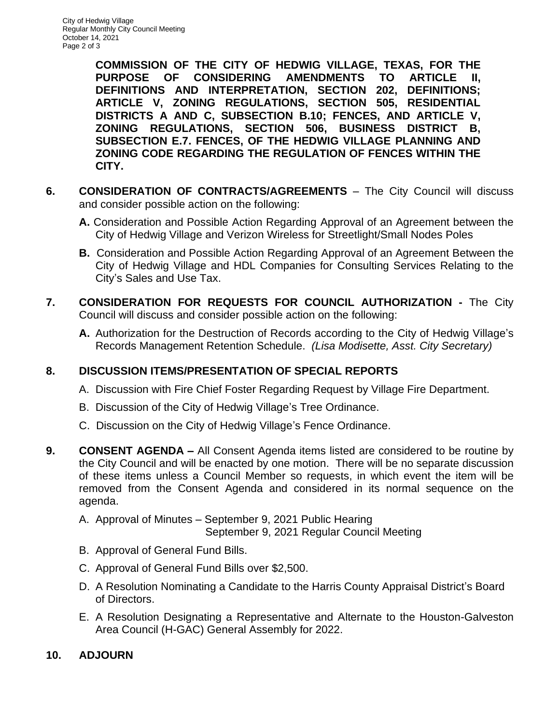**COMMISSION OF THE CITY OF HEDWIG VILLAGE, TEXAS, FOR THE PURPOSE OF CONSIDERING AMENDMENTS TO ARTICLE II, DEFINITIONS AND INTERPRETATION, SECTION 202, DEFINITIONS; ARTICLE V, ZONING REGULATIONS, SECTION 505, RESIDENTIAL DISTRICTS A AND C, SUBSECTION B.10; FENCES, AND ARTICLE V, ZONING REGULATIONS, SECTION 506, BUSINESS DISTRICT B, SUBSECTION E.7. FENCES, OF THE HEDWIG VILLAGE PLANNING AND ZONING CODE REGARDING THE REGULATION OF FENCES WITHIN THE CITY.**

- **6. CONSIDERATION OF CONTRACTS/AGREEMENTS** The City Council will discuss and consider possible action on the following:
	- **A.** Consideration and Possible Action Regarding Approval of an Agreement between the City of Hedwig Village and Verizon Wireless for Streetlight/Small Nodes Poles
	- **B.** Consideration and Possible Action Regarding Approval of an Agreement Between the City of Hedwig Village and HDL Companies for Consulting Services Relating to the City's Sales and Use Tax.
- **7. CONSIDERATION FOR REQUESTS FOR COUNCIL AUTHORIZATION -** The City Council will discuss and consider possible action on the following:
	- **A.** Authorization for the Destruction of Records according to the City of Hedwig Village's Records Management Retention Schedule. *(Lisa Modisette, Asst. City Secretary)*

# **8. DISCUSSION ITEMS/PRESENTATION OF SPECIAL REPORTS**

- A. Discussion with Fire Chief Foster Regarding Request by Village Fire Department.
- B. Discussion of the City of Hedwig Village's Tree Ordinance.
- C. Discussion on the City of Hedwig Village's Fence Ordinance.
- **9. CONSENT AGENDA –** All Consent Agenda items listed are considered to be routine by the City Council and will be enacted by one motion. There will be no separate discussion of these items unless a Council Member so requests, in which event the item will be removed from the Consent Agenda and considered in its normal sequence on the agenda.
	- A. Approval of Minutes September 9, 2021 Public Hearing

September 9, 2021 Regular Council Meeting

- B. Approval of General Fund Bills.
- C. Approval of General Fund Bills over \$2,500.
- D. A Resolution Nominating a Candidate to the Harris County Appraisal District's Board of Directors.
- E. A Resolution Designating a Representative and Alternate to the Houston-Galveston Area Council (H-GAC) General Assembly for 2022.

## **10. ADJOURN**